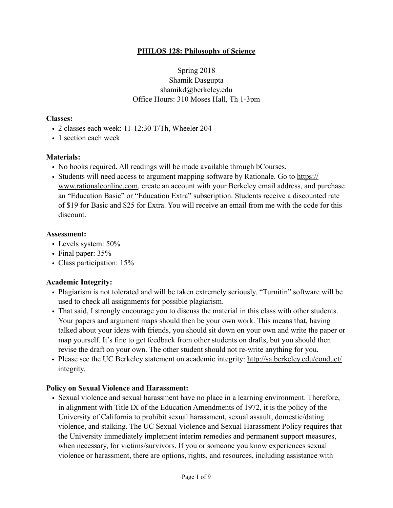### **PHILOS 128: Philosophy of Science**

Spring 2018 Shamik Dasgupta shamikd@berkeley.edu Office Hours: 310 Moses Hall, Th 1-3pm

#### **Classes:**

- 2 classes each week: 11-12:30 T/Th, Wheeler 204
- 1 section each week

### **Materials:**

- No books required. All readings will be made available through bCourses.
- [Students will need access to argument mapping software by Rationale. Go to https://](https://www.rationaleonline.com) www.rationaleonline.com, create an account with your Berkeley email address, and purchase an "Education Basic" or "Education Extra" subscription. Students receive a discounted rate of \$19 for Basic and \$25 for Extra. You will receive an email from me with the code for this discount.

#### **Assessment:**

- Levels system: 50%
- Final paper: 35%
- Class participation: 15%

### **Academic Integrity:**

- Plagiarism is not tolerated and will be taken extremely seriously. "Turnitin" software will be used to check all assignments for possible plagiarism.
- That said, I strongly encourage you to discuss the material in this class with other students. Your papers and argument maps should then be your own work. This means that, having talked about your ideas with friends, you should sit down on your own and write the paper or map yourself. It's fine to get feedback from other students on drafts, but you should then revise the draft on your own. The other student should not re-write anything for you.
- [Please see the UC Berkeley statement on academic integrity: http://sa.berkeley.edu/conduct/](http://sa.berkeley.edu/conduct/integrity) integrity.

### **Policy on Sexual Violence and Harassment:**

• Sexual violence and sexual harassment have no place in a learning environment. Therefore, in alignment with Title IX of the Education Amendments of 1972, it is the policy of the University of California to prohibit sexual harassment, sexual assault, domestic/dating violence, and stalking. The UC Sexual Violence and Sexual Harassment Policy requires that the University immediately implement interim remedies and permanent support measures, when necessary, for victims/survivors. If you or someone you know experiences sexual violence or harassment, there are options, rights, and resources, including assistance with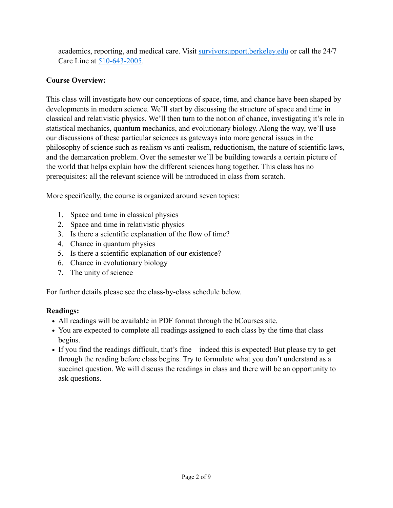academics, reporting, and medical care. Visit [survivorsupport.berkeley.edu](http://survivorsupport.berkeley.edu/) or call the 24/7 Care Line at 510-643-2005.

# **Course Overview:**

This class will investigate how our conceptions of space, time, and chance have been shaped by developments in modern science. We'll start by discussing the structure of space and time in classical and relativistic physics. We'll then turn to the notion of chance, investigating it's role in statistical mechanics, quantum mechanics, and evolutionary biology. Along the way, we'll use our discussions of these particular sciences as gateways into more general issues in the philosophy of science such as realism vs anti-realism, reductionism, the nature of scientific laws, and the demarcation problem. Over the semester we'll be building towards a certain picture of the world that helps explain how the different sciences hang together. This class has no prerequisites: all the relevant science will be introduced in class from scratch.

More specifically, the course is organized around seven topics:

- 1. Space and time in classical physics
- 2. Space and time in relativistic physics
- 3. Is there a scientific explanation of the flow of time?
- 4. Chance in quantum physics
- 5. Is there a scientific explanation of our existence?
- 6. Chance in evolutionary biology
- 7. The unity of science

For further details please see the class-by-class schedule below.

# **Readings:**

- *•* All readings will be available in PDF format through the bCourses site.
- You are expected to complete all readings assigned to each class by the time that class begins.
- If you find the readings difficult, that's fine—indeed this is expected! But please try to get through the reading before class begins. Try to formulate what you don't understand as a succinct question. We will discuss the readings in class and there will be an opportunity to ask questions.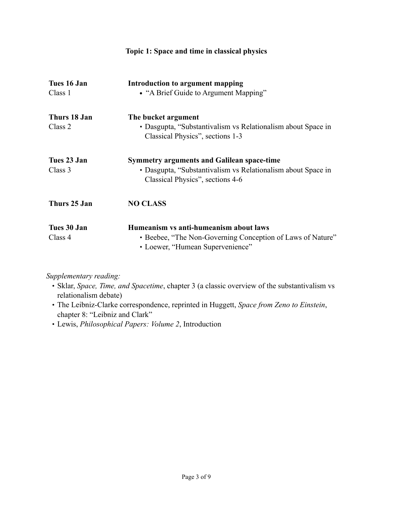| Topic 1: Space and time in classical physics |                                                                                                                                                       |
|----------------------------------------------|-------------------------------------------------------------------------------------------------------------------------------------------------------|
| Tues 16 Jan<br>Class 1                       | Introduction to argument mapping<br>• "A Brief Guide to Argument Mapping"                                                                             |
| Thurs 18 Jan<br>Class 2                      | The bucket argument<br>• Dasgupta, "Substantivalism vs Relationalism about Space in<br>Classical Physics", sections 1-3                               |
| Tues 23 Jan<br>Class 3                       | <b>Symmetry arguments and Galilean space-time</b><br>• Dasgupta, "Substantivalism vs Relationalism about Space in<br>Classical Physics", sections 4-6 |
| Thurs 25 Jan                                 | <b>NO CLASS</b>                                                                                                                                       |
| Tues 30 Jan<br>Class 4                       | Humeanism vs anti-humeanism about laws<br>• Beebee, "The Non-Governing Conception of Laws of Nature"<br>• Loewer, "Humean Supervenience"              |

- Sklar, *Space, Time, and Spacetime*, chapter 3 (a classic overview of the substantivalism vs relationalism debate)
- The Leibniz-Clarke correspondence, reprinted in Huggett, *Space from Zeno to Einstein*, chapter 8: "Leibniz and Clark"
- Lewis, *Philosophical Papers: Volume 2*, Introduction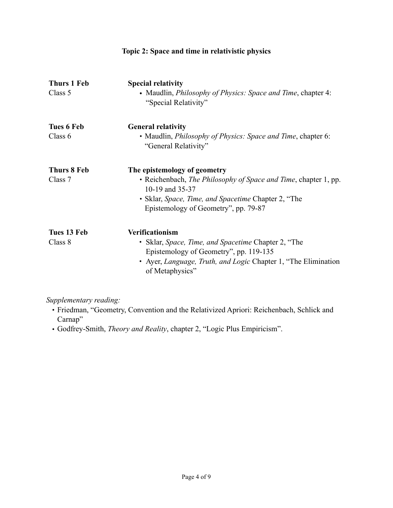| Thurs 1 Feb<br>Class 5 | <b>Special relativity</b><br>• Maudlin, <i>Philosophy of Physics: Space and Time</i> , chapter 4:<br>"Special Relativity"                                                                                         |
|------------------------|-------------------------------------------------------------------------------------------------------------------------------------------------------------------------------------------------------------------|
| Tues 6 Feb<br>Class 6  | <b>General relativity</b><br>• Maudlin, <i>Philosophy of Physics: Space and Time</i> , chapter 6:<br>"General Relativity"                                                                                         |
| Thurs 8 Feb<br>Class 7 | The epistemology of geometry<br>• Reichenbach, The Philosophy of Space and Time, chapter 1, pp.<br>10-19 and 35-37<br>· Sklar, Space, Time, and Spacetime Chapter 2, "The<br>Epistemology of Geometry", pp. 79-87 |
| Tues 13 Feb<br>Class 8 | Verificationism<br>• Sklar, <i>Space, Time, and Spacetime</i> Chapter 2, "The<br>Epistemology of Geometry", pp. 119-135<br>• Ayer, Language, Truth, and Logic Chapter 1, "The Elimination<br>of Metaphysics"      |

**Topic 2: Space and time in relativistic physics** 

- Friedman, "Geometry, Convention and the Relativized Apriori: Reichenbach, Schlick and Carnap"
- Godfrey-Smith, *Theory and Reality*, chapter 2, "Logic Plus Empiricism".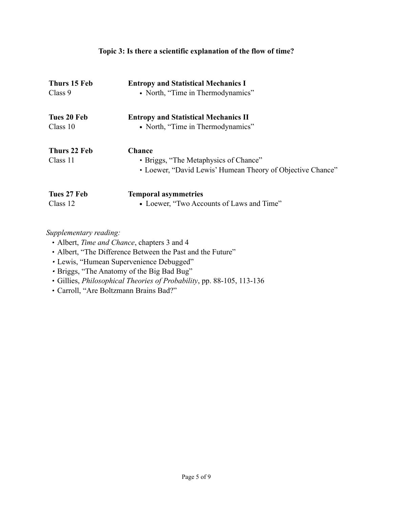# **Topic 3: Is there a scientific explanation of the flow of time?**

| Thurs 15 Feb<br>Class 9 | <b>Entropy and Statistical Mechanics I</b><br>• North, "Time in Thermodynamics" |
|-------------------------|---------------------------------------------------------------------------------|
| Tues 20 Feb             | <b>Entropy and Statistical Mechanics II</b>                                     |
| Class 10                | • North, "Time in Thermodynamics"                                               |
| Thurs 22 Feb            | <b>Chance</b>                                                                   |
| Class 11                | • Briggs, "The Metaphysics of Chance"                                           |
|                         | • Loewer, "David Lewis' Humean Theory of Objective Chance"                      |
| Tues 27 Feb             | <b>Temporal asymmetries</b>                                                     |
| Class 12                | • Loewer, "Two Accounts of Laws and Time"                                       |

- **•** Albert, *Time and Chance*, chapters 3 and 4
- **•** Albert, "The Difference Between the Past and the Future"
- *•* Lewis, "Humean Supervenience Debugged"
- *•* Briggs, "The Anatomy of the Big Bad Bug"
- Gillies, *Philosophical Theories of Probability*, pp. 88-105, 113-136
- Carroll, "Are Boltzmann Brains Bad?"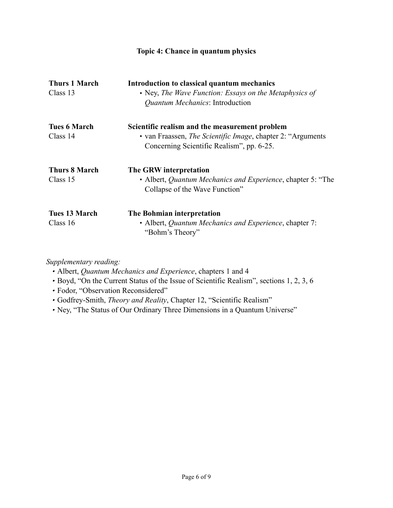# **Topic 4: Chance in quantum physics**

| <b>Thurs 1 March</b><br>Class 13 | Introduction to classical quantum mechanics<br>• Ney, The Wave Function: Essays on the Metaphysics of<br><i><b>Quantum Mechanics: Introduction</b></i>              |
|----------------------------------|---------------------------------------------------------------------------------------------------------------------------------------------------------------------|
| <b>Tues 6 March</b><br>Class 14  | Scientific realism and the measurement problem<br>• van Fraassen, <i>The Scientific Image</i> , chapter 2: "Arguments"<br>Concerning Scientific Realism", pp. 6-25. |
| <b>Thurs 8 March</b><br>Class 15 | The GRW interpretation<br>• Albert, <i>Quantum Mechanics and Experience</i> , chapter 5: "The<br>Collapse of the Wave Function"                                     |
| Tues 13 March<br>Class 16        | The Bohmian interpretation<br>• Albert, Quantum Mechanics and Experience, chapter 7:<br>"Bohm's Theory"                                                             |

- *•* Albert, *Quantum Mechanics and Experience*, chapters 1 and 4
- *•* Boyd, "On the Current Status of the Issue of Scientific Realism", sections 1, 2, 3, 6
- *•* Fodor, "Observation Reconsidered"
- *•* Godfrey-Smith, *Theory and Reality*, Chapter 12, "Scientific Realism"
- *•* Ney, "The Status of Our Ordinary Three Dimensions in a Quantum Universe"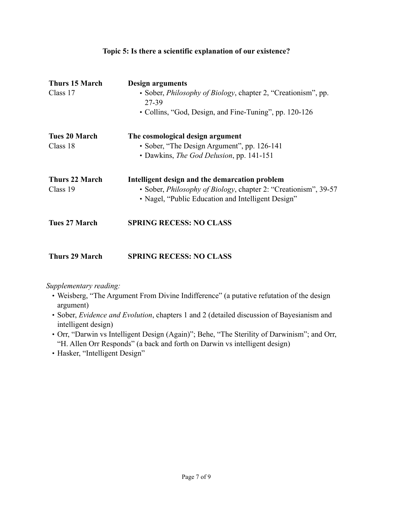| Thurs 15 March<br>Class 17       | <b>Design arguments</b><br>• Sober, <i>Philosophy of Biology</i> , chapter 2, "Creationism", pp.<br>27-39<br>• Collins, "God, Design, and Fine-Tuning", pp. 120-126             |
|----------------------------------|---------------------------------------------------------------------------------------------------------------------------------------------------------------------------------|
| <b>Tues 20 March</b><br>Class 18 | The cosmological design argument<br>• Sober, "The Design Argument", pp. 126-141<br>• Dawkins, <i>The God Delusion</i> , pp. 141-151                                             |
| Thurs 22 March<br>Class 19       | Intelligent design and the demarcation problem<br>• Sober, <i>Philosophy of Biology</i> , chapter 2: "Creationism", 39-57<br>• Nagel, "Public Education and Intelligent Design" |
| <b>Tues 27 March</b>             | <b>SPRING RECESS: NO CLASS</b>                                                                                                                                                  |

## **Topic 5: Is there a scientific explanation of our existence?**

**Thurs 29 March SPRING RECESS: NO CLASS**

- Weisberg, "The Argument From Divine Indifference" (a putative refutation of the design argument)
- Sober, *Evidence and Evolution*, chapters 1 and 2 (detailed discussion of Bayesianism and intelligent design)
- Orr, "Darwin vs Intelligent Design (Again)"; Behe, "The Sterility of Darwinism"; and Orr, "H. Allen Orr Responds" (a back and forth on Darwin vs intelligent design)
- Hasker, "Intelligent Design"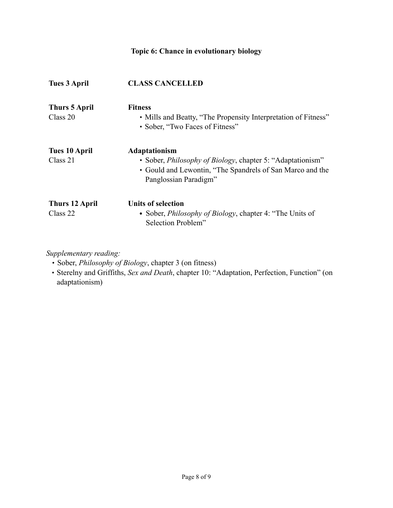# **Topic 6: Chance in evolutionary biology**

| <b>Tues 3 April</b>               | <b>CLASS CANCELLED</b>                                                                                                                                                    |
|-----------------------------------|---------------------------------------------------------------------------------------------------------------------------------------------------------------------------|
| <b>Thurs 5 April</b><br>Class 20  | <b>Fitness</b><br>• Mills and Beatty, "The Propensity Interpretation of Fitness"<br>• Sober, "Two Faces of Fitness"                                                       |
| Tues 10 April<br>Class 21         | Adaptationism<br>• Sober, <i>Philosophy of Biology</i> , chapter 5: "Adaptationism"<br>• Gould and Lewontin, "The Spandrels of San Marco and the<br>Panglossian Paradigm" |
| <b>Thurs 12 April</b><br>Class 22 | <b>Units of selection</b><br>• Sober, <i>Philosophy of Biology</i> , chapter 4: "The Units of<br>Selection Problem"                                                       |

*Supplementary reading:* 

• Sober, *Philosophy of Biology*, chapter 3 (on fitness)

• Sterelny and Griffiths, *Sex and Death*, chapter 10: "Adaptation, Perfection, Function" (on adaptationism)